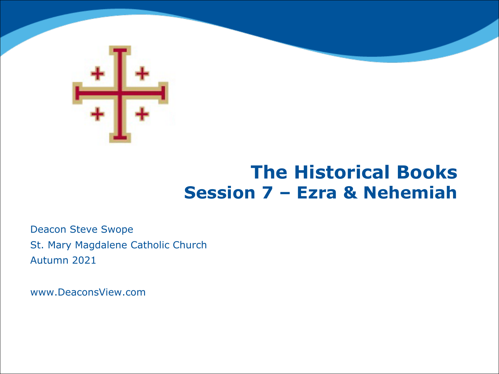

#### **The Historical Books Session 7 – Ezra & Nehemiah**

Deacon Steve Swope St. Mary Magdalene Catholic Church Autumn 2021

www.DeaconsView.com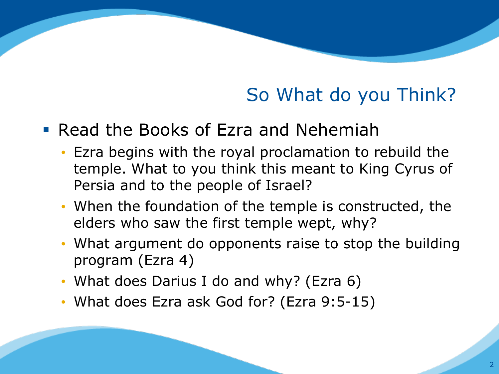## So What do you Think?

#### § Read the Books of Ezra and Nehemiah

- Ezra begins with the royal proclamation to rebuild the temple. What to you think this meant to King Cyrus of Persia and to the people of Israel?
- When the foundation of the temple is constructed, the elders who saw the first temple wept, why?
- What argument do opponents raise to stop the building program (Ezra 4)
- What does Darius I do and why? (Ezra 6)
- What does Ezra ask God for? (Ezra 9:5-15)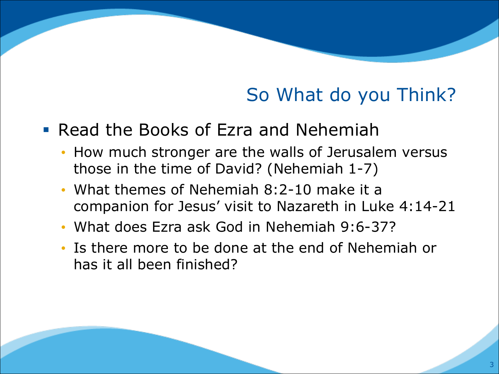## So What do you Think?

- Read the Books of Ezra and Nehemiah
	- How much stronger are the walls of Jerusalem versus those in the time of David? (Nehemiah 1-7)
	- What themes of Nehemiah 8:2-10 make it a companion for Jesus' visit to Nazareth in Luke 4:14-21
	- What does Ezra ask God in Nehemiah 9:6-37?
	- Is there more to be done at the end of Nehemiah or has it all been finished?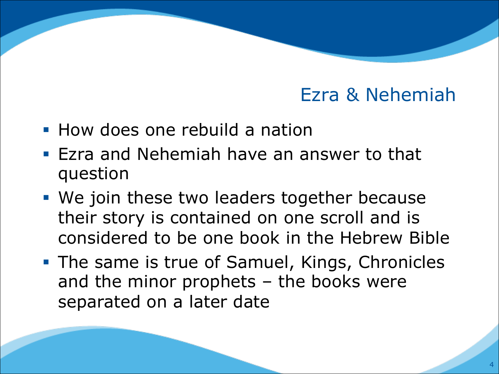- How does one rebuild a nation
- **Exacter 3 Audie Steam** Have an answer to that question
- We join these two leaders together because their story is contained on one scroll and is considered to be one book in the Hebrew Bible
- The same is true of Samuel, Kings, Chronicles and the minor prophets – the books were separated on a later date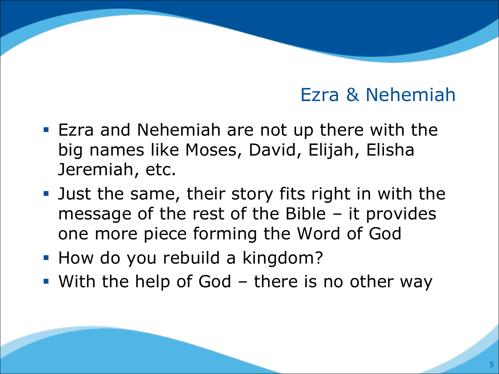- Ezra and Nehemiah are not up there with the big names like Moses, David, Elijah, Elisha Jeremiah, etc.
- Just the same, their story fits right in with the message of the rest of the Bible – it provides one more piece forming the Word of God
- How do you rebuild a kingdom?
- With the help of God there is no other way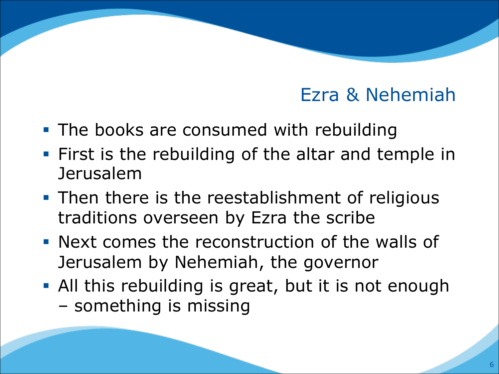- The books are consumed with rebuilding
- § First is the rebuilding of the altar and temple in Jerusalem
- Then there is the reestablishment of religious traditions overseen by Ezra the scribe
- § Next comes the reconstruction of the walls of Jerusalem by Nehemiah, the governor
- All this rebuilding is great, but it is not enough – something is missing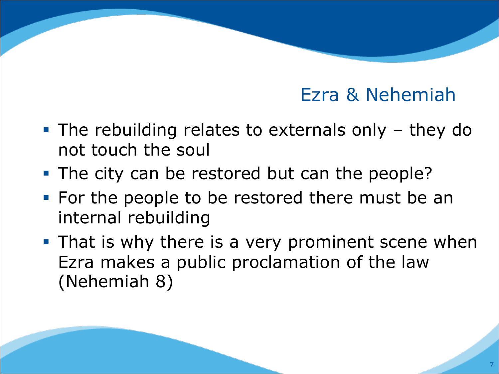- The rebuilding relates to externals only they do not touch the soul
- The city can be restored but can the people?
- For the people to be restored there must be an internal rebuilding
- That is why there is a very prominent scene when Ezra makes a public proclamation of the law (Nehemiah 8)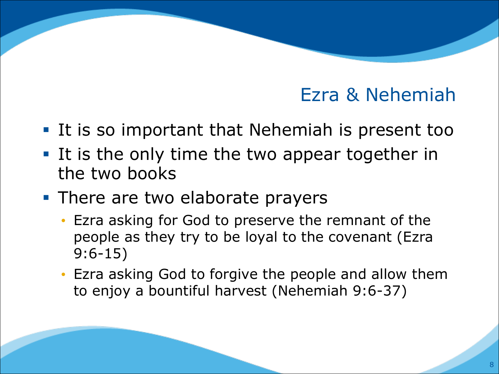- It is so important that Nehemiah is present too
- § It is the only time the two appear together in the two books
- There are two elaborate prayers
	- Ezra asking for God to preserve the remnant of the people as they try to be loyal to the covenant (Ezra 9:6-15)
	- Ezra asking God to forgive the people and allow them to enjoy a bountiful harvest (Nehemiah 9:6-37)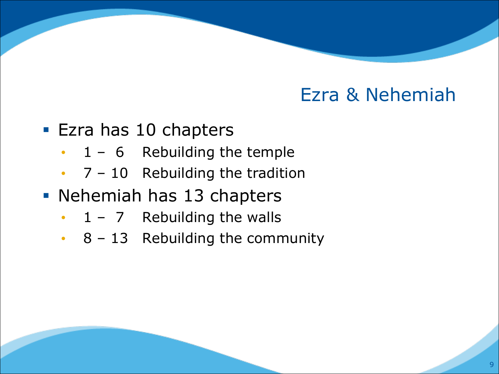- Ezra has 10 chapters
	- $\cdot$  1 6 Rebuilding the temple
	- $\cdot$  7 10 Rebuilding the tradition
- § Nehemiah has 13 chapters
	- $\cdot$  1 7 Rebuilding the walls
	- $\cdot$  8 13 Rebuilding the community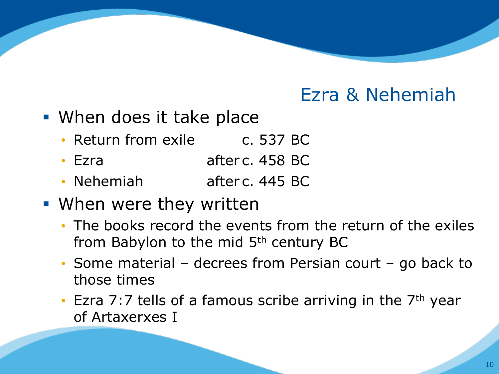- When does it take place
	- Return from exile c. 537 BC
	- Ezra after c. 458 BC
	- Nehemiah after c. 445 BC
- When were they written
	- The books record the events from the return of the exiles from Babylon to the mid 5<sup>th</sup> century BC
	- Some material decrees from Persian court go back to those times
	- Ezra 7:7 tells of a famous scribe arriving in the 7<sup>th</sup> year of Artaxerxes I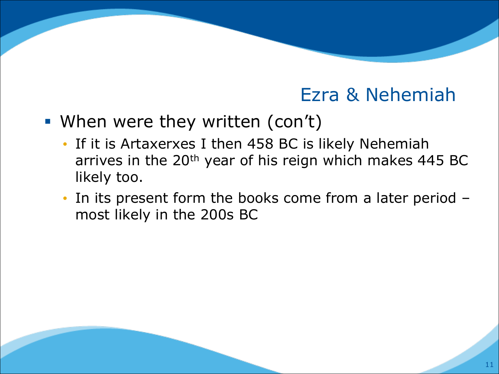- When were they written (con't)
	- If it is Artaxerxes I then 458 BC is likely Nehemiah arrives in the 20<sup>th</sup> year of his reign which makes 445 BC likely too.
	- In its present form the books come from a later period most likely in the 200s BC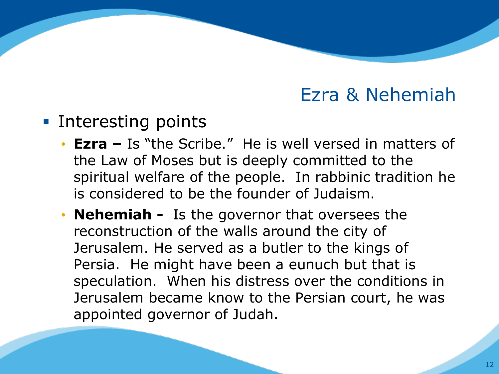- Interesting points
	- **Ezra –** Is "the Scribe." He is well versed in matters of the Law of Moses but is deeply committed to the spiritual welfare of the people. In rabbinic tradition he is considered to be the founder of Judaism.
	- **Nehemiah -** Is the governor that oversees the reconstruction of the walls around the city of Jerusalem. He served as a butler to the kings of Persia. He might have been a eunuch but that is speculation. When his distress over the conditions in Jerusalem became know to the Persian court, he was appointed governor of Judah.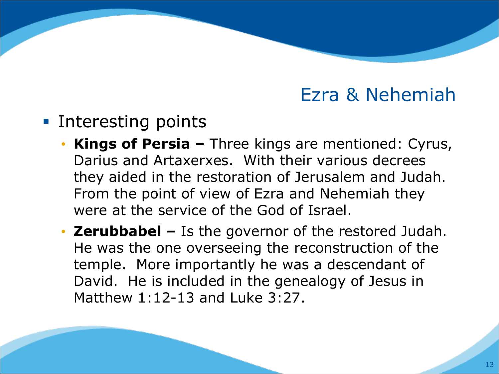- Interesting points
	- **Kings of Persia –** Three kings are mentioned: Cyrus, Darius and Artaxerxes. With their various decrees they aided in the restoration of Jerusalem and Judah. From the point of view of Ezra and Nehemiah they were at the service of the God of Israel.
	- **Zerubbabel –** Is the governor of the restored Judah. He was the one overseeing the reconstruction of the temple. More importantly he was a descendant of David. He is included in the genealogy of Jesus in Matthew 1:12-13 and Luke 3:27.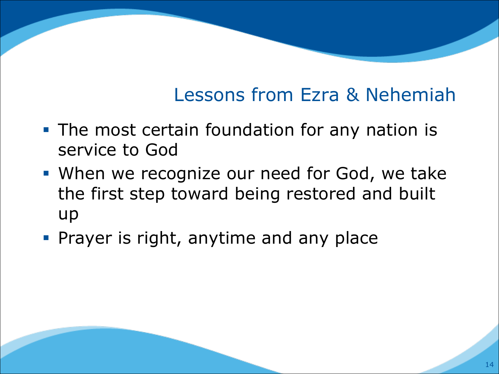# Lessons from Ezra & Nehemiah

- The most certain foundation for any nation is service to God
- When we recognize our need for God, we take the first step toward being restored and built up
- **Prayer is right, anytime and any place**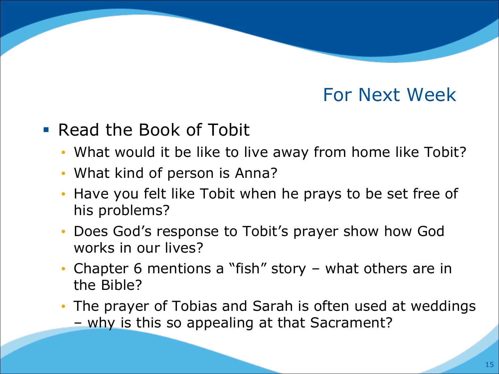### For Next Week

#### • Read the Book of Tobit

- What would it be like to live away from home like Tobit?
- What kind of person is Anna?
- Have you felt like Tobit when he prays to be set free of his problems?
- Does God's response to Tobit's prayer show how God works in our lives?
- Chapter 6 mentions a "fish" story what others are in the Bible?
- The prayer of Tobias and Sarah is often used at weddings
	- why is this so appealing at that Sacrament?